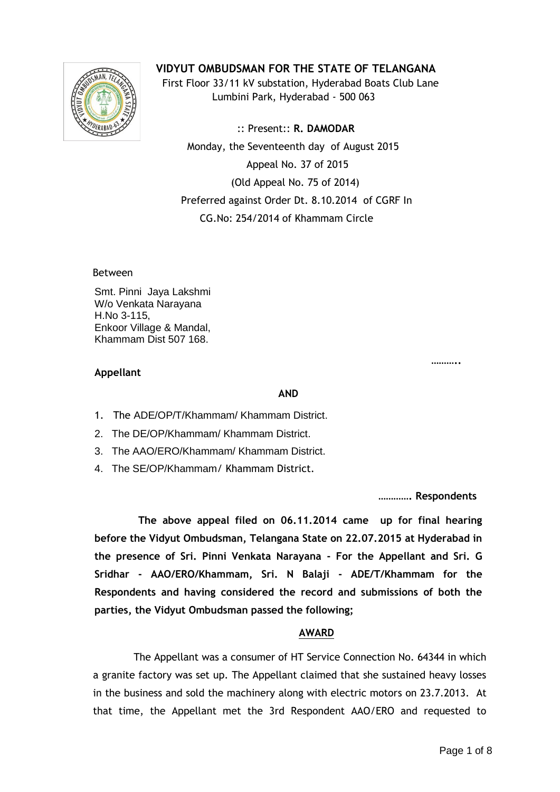

**VIDYUT OMBUDSMAN FOR THE STATE OF TELANGANA**

 First Floor 33/11 kV substation, Hyderabad Boats Club Lane Lumbini Park, Hyderabad - 500 063

 :: Present:: **R. DAMODAR** Monday, the Seventeenth day of August 2015 Appeal No. 37 of 2015 (Old Appeal No. 75 of 2014) Preferred against Order Dt. 8.10.2014 of CGRF In CG.No: 254/2014 of Khammam Circle

Between

Smt. Pinni Jaya Lakshmi W/o Venkata Narayana H.No 3-115, Enkoor Village & Mandal, Khammam Dist 507 168.

#### **……….. Appellant**

#### **AND**

- 1. The ADE/OP/T/Khammam/ Khammam District.
- 2. The DE/OP/Khammam/ Khammam District.
- 3. The AAO/ERO/Khammam/ Khammam District.
- 4. The SE/OP/Khammam/ Khammam District.

**…………. Respondents**

 **The above appeal filed on 06.11.2014 came up for final hearing before the Vidyut Ombudsman, Telangana State on 22.07.2015 at Hyderabad in the presence of Sri. Pinni Venkata Narayana - For the Appellant and Sri. G Sridhar - AAO/ERO/Khammam, Sri. N Balaji - ADE/T/Khammam for the Respondents and having considered the record and submissions of both the parties, the Vidyut Ombudsman passed the following;**

# **AWARD**

The Appellant was a consumer of HT Service Connection No. 64344 in which a granite factory was set up. The Appellant claimed that she sustained heavy losses in the business and sold the machinery along with electric motors on 23.7.2013. At that time, the Appellant met the 3rd Respondent AAO/ERO and requested to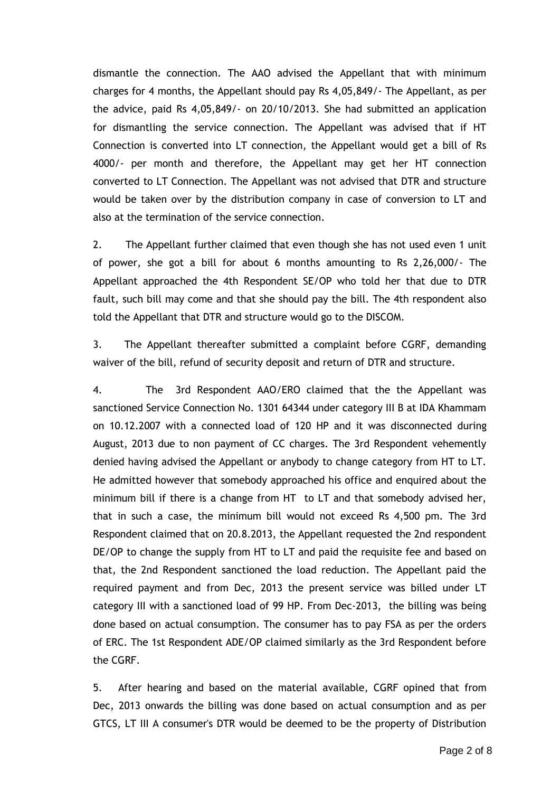dismantle the connection. The AAO advised the Appellant that with minimum charges for 4 months, the Appellant should pay Rs 4,05,849/- The Appellant, as per the advice, paid Rs 4,05,849/- on 20/10/2013. She had submitted an application for dismantling the service connection. The Appellant was advised that if HT Connection is converted into LT connection, the Appellant would get a bill of Rs 4000/- per month and therefore, the Appellant may get her HT connection converted to LT Connection. The Appellant was not advised that DTR and structure would be taken over by the distribution company in case of conversion to LT and also at the termination of the service connection.

2. The Appellant further claimed that even though she has not used even 1 unit of power, she got a bill for about 6 months amounting to Rs 2,26,000/- The Appellant approached the 4th Respondent SE/OP who told her that due to DTR fault, such bill may come and that she should pay the bill. The 4th respondent also told the Appellant that DTR and structure would go to the DISCOM.

3. The Appellant thereafter submitted a complaint before CGRF, demanding waiver of the bill, refund of security deposit and return of DTR and structure.

4. The 3rd Respondent AAO/ERO claimed that the the Appellant was sanctioned Service Connection No. 1301 64344 under category III B at IDA Khammam on 10.12.2007 with a connected load of 120 HP and it was disconnected during August, 2013 due to non payment of CC charges. The 3rd Respondent vehemently denied having advised the Appellant or anybody to change category from HT to LT. He admitted however that somebody approached his office and enquired about the minimum bill if there is a change from HT to LT and that somebody advised her, that in such a case, the minimum bill would not exceed Rs 4,500 pm. The 3rd Respondent claimed that on 20.8.2013, the Appellant requested the 2nd respondent DE/OP to change the supply from HT to LT and paid the requisite fee and based on that, the 2nd Respondent sanctioned the load reduction. The Appellant paid the required payment and from Dec, 2013 the present service was billed under LT category III with a sanctioned load of 99 HP. From Dec-2013, the billing was being done based on actual consumption. The consumer has to pay FSA as per the orders of ERC. The 1st Respondent ADE/OP claimed similarly as the 3rd Respondent before the CGRF.

5. After hearing and based on the material available, CGRF opined that from Dec, 2013 onwards the billing was done based on actual consumption and as per GTCS, LT III A consumer's DTR would be deemed to be the property of Distribution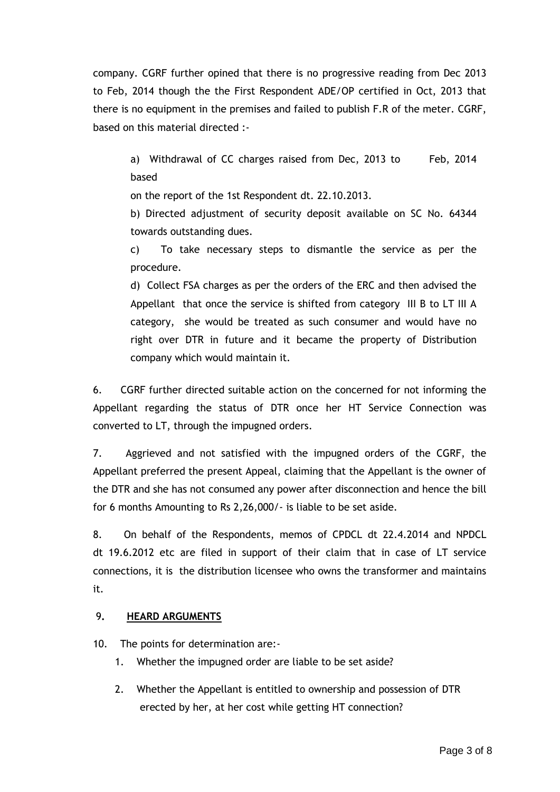company. CGRF further opined that there is no progressive reading from Dec 2013 to Feb, 2014 though the the First Respondent ADE/OP certified in Oct, 2013 that there is no equipment in the premises and failed to publish F.R of the meter. CGRF, based on this material directed :-

a) Withdrawal of CC charges raised from Dec, 2013 to Feb, 2014 based

on the report of the 1st Respondent dt. 22.10.2013.

b) Directed adjustment of security deposit available on SC No. 64344 towards outstanding dues.

c) To take necessary steps to dismantle the service as per the procedure.

d) Collect FSA charges as per the orders of the ERC and then advised the Appellant that once the service is shifted from category III B to LT III A category, she would be treated as such consumer and would have no right over DTR in future and it became the property of Distribution company which would maintain it.

6. CGRF further directed suitable action on the concerned for not informing the Appellant regarding the status of DTR once her HT Service Connection was converted to LT, through the impugned orders.

7. Aggrieved and not satisfied with the impugned orders of the CGRF, the Appellant preferred the present Appeal, claiming that the Appellant is the owner of the DTR and she has not consumed any power after disconnection and hence the bill for 6 months Amounting to Rs 2,26,000/- is liable to be set aside.

8. On behalf of the Respondents, memos of CPDCL dt 22.4.2014 and NPDCL dt 19.6.2012 etc are filed in support of their claim that in case of LT service connections, it is the distribution licensee who owns the transformer and maintains it.

# 9**. HEARD ARGUMENTS**

10. The points for determination are:-

- 1. Whether the impugned order are liable to be set aside?
- 2. Whether the Appellant is entitled to ownership and possession of DTR erected by her, at her cost while getting HT connection?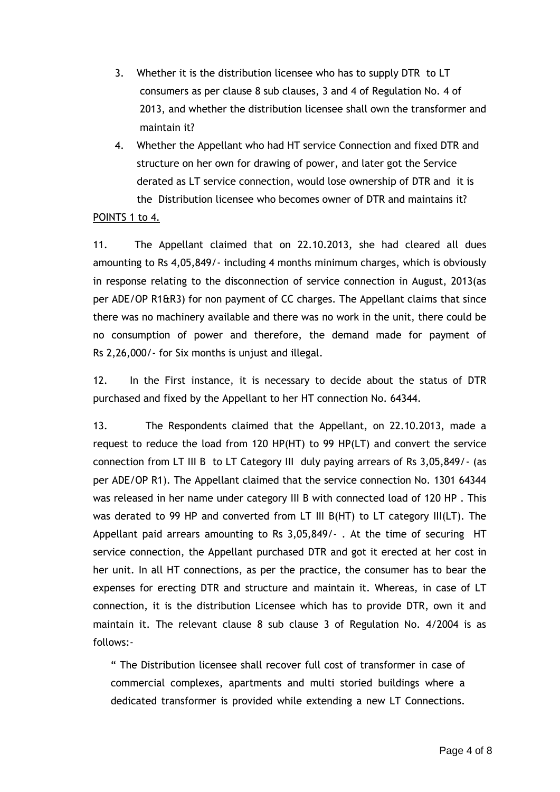- 3. Whether it is the distribution licensee who has to supply DTR to LT consumers as per clause 8 sub clauses, 3 and 4 of Regulation No. 4 of 2013, and whether the distribution licensee shall own the transformer and maintain it?
- 4. Whether the Appellant who had HT service Connection and fixed DTR and structure on her own for drawing of power, and later got the Service derated as LT service connection, would lose ownership of DTR and it is the Distribution licensee who becomes owner of DTR and maintains it?

### POINTS 1 to 4.

11. The Appellant claimed that on 22.10.2013, she had cleared all dues amounting to Rs 4,05,849/- including 4 months minimum charges, which is obviously in response relating to the disconnection of service connection in August, 2013(as per ADE/OP R1&R3) for non payment of CC charges. The Appellant claims that since there was no machinery available and there was no work in the unit, there could be no consumption of power and therefore, the demand made for payment of Rs 2,26,000/- for Six months is unjust and illegal.

12. In the First instance, it is necessary to decide about the status of DTR purchased and fixed by the Appellant to her HT connection No. 64344.

13. The Respondents claimed that the Appellant, on 22.10.2013, made a request to reduce the load from 120 HP(HT) to 99 HP(LT) and convert the service connection from LT III B to LT Category III duly paying arrears of Rs 3,05,849/- (as per ADE/OP R1). The Appellant claimed that the service connection No. 1301 64344 was released in her name under category III B with connected load of 120 HP . This was derated to 99 HP and converted from LT III B(HT) to LT category III(LT). The Appellant paid arrears amounting to Rs 3,05,849/- . At the time of securing HT service connection, the Appellant purchased DTR and got it erected at her cost in her unit. In all HT connections, as per the practice, the consumer has to bear the expenses for erecting DTR and structure and maintain it. Whereas, in case of LT connection, it is the distribution Licensee which has to provide DTR, own it and maintain it. The relevant clause 8 sub clause 3 of Regulation No. 4/2004 is as follows:-

" The Distribution licensee shall recover full cost of transformer in case of commercial complexes, apartments and multi storied buildings where a dedicated transformer is provided while extending a new LT Connections.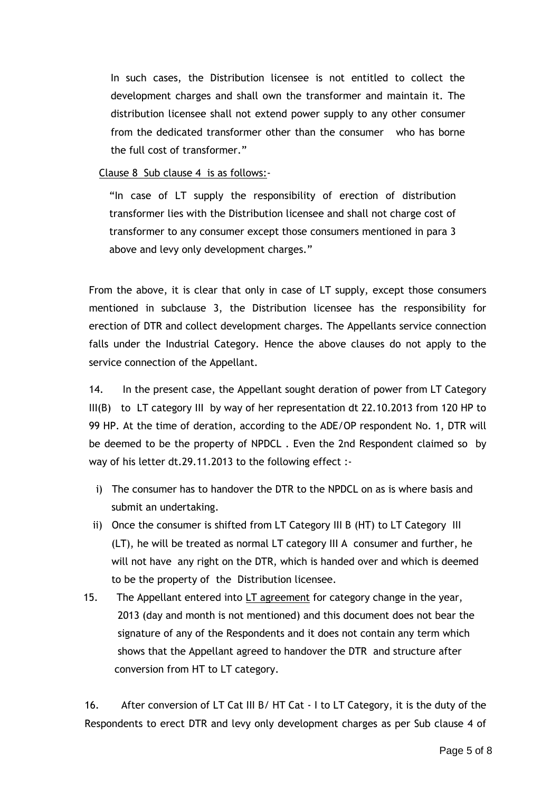In such cases, the Distribution licensee is not entitled to collect the development charges and shall own the transformer and maintain it. The distribution licensee shall not extend power supply to any other consumer from the dedicated transformer other than the consumer who has borne the full cost of transformer."

## Clause 8 Sub clause 4 is as follows:-

"In case of LT supply the responsibility of erection of distribution transformer lies with the Distribution licensee and shall not charge cost of transformer to any consumer except those consumers mentioned in para 3 above and levy only development charges."

From the above, it is clear that only in case of LT supply, except those consumers mentioned in subclause 3, the Distribution licensee has the responsibility for erection of DTR and collect development charges. The Appellants service connection falls under the Industrial Category. Hence the above clauses do not apply to the service connection of the Appellant.

14. In the present case, the Appellant sought deration of power from LT Category III(B) to LT category III by way of her representation dt 22.10.2013 from 120 HP to 99 HP. At the time of deration, according to the ADE/OP respondent No. 1, DTR will be deemed to be the property of NPDCL . Even the 2nd Respondent claimed so by way of his letter dt.29.11.2013 to the following effect :-

- i) The consumer has to handover the DTR to the NPDCL on as is where basis and submit an undertaking.
- ii) Once the consumer is shifted from LT Category III B (HT) to LT Category III (LT), he will be treated as normal LT category III A consumer and further, he will not have any right on the DTR, which is handed over and which is deemed to be the property of the Distribution licensee.
- 15. The Appellant entered into LT agreement for category change in the year, 2013 (day and month is not mentioned) and this document does not bear the signature of any of the Respondents and it does not contain any term which shows that the Appellant agreed to handover the DTR and structure after conversion from HT to LT category.

16. After conversion of LT Cat III B/ HT Cat - I to LT Category, it is the duty of the Respondents to erect DTR and levy only development charges as per Sub clause 4 of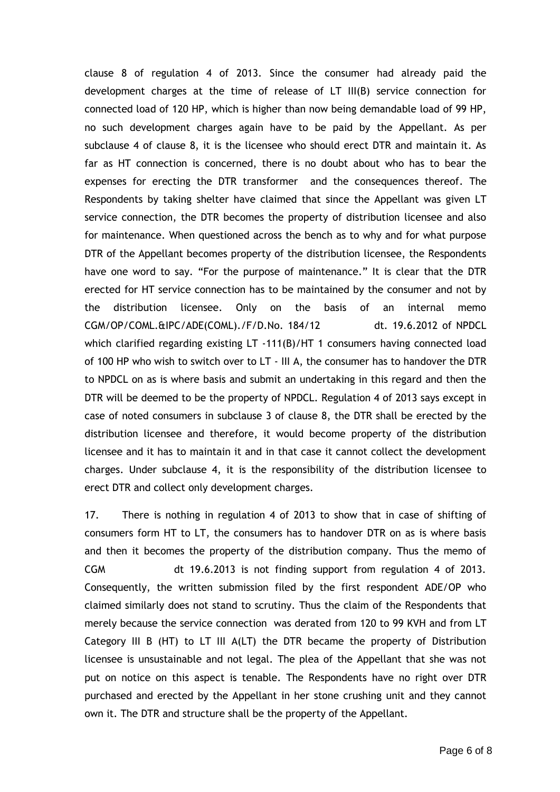clause 8 of regulation 4 of 2013. Since the consumer had already paid the development charges at the time of release of LT III(B) service connection for connected load of 120 HP, which is higher than now being demandable load of 99 HP, no such development charges again have to be paid by the Appellant. As per subclause 4 of clause 8, it is the licensee who should erect DTR and maintain it. As far as HT connection is concerned, there is no doubt about who has to bear the expenses for erecting the DTR transformer and the consequences thereof. The Respondents by taking shelter have claimed that since the Appellant was given LT service connection, the DTR becomes the property of distribution licensee and also for maintenance. When questioned across the bench as to why and for what purpose DTR of the Appellant becomes property of the distribution licensee, the Respondents have one word to say. "For the purpose of maintenance." It is clear that the DTR erected for HT service connection has to be maintained by the consumer and not by the distribution licensee. Only on the basis of an internal memo CGM/OP/COML.&IPC/ADE(COML)./F/D.No. 184/12 dt. 19.6.2012 of NPDCL which clarified regarding existing LT -111(B)/HT 1 consumers having connected load of 100 HP who wish to switch over to LT - III A, the consumer has to handover the DTR to NPDCL on as is where basis and submit an undertaking in this regard and then the DTR will be deemed to be the property of NPDCL. Regulation 4 of 2013 says except in case of noted consumers in subclause 3 of clause 8, the DTR shall be erected by the distribution licensee and therefore, it would become property of the distribution licensee and it has to maintain it and in that case it cannot collect the development charges. Under subclause 4, it is the responsibility of the distribution licensee to erect DTR and collect only development charges.

17. There is nothing in regulation 4 of 2013 to show that in case of shifting of consumers form HT to LT, the consumers has to handover DTR on as is where basis and then it becomes the property of the distribution company. Thus the memo of CGM dt 19.6.2013 is not finding support from regulation 4 of 2013. Consequently, the written submission filed by the first respondent ADE/OP who claimed similarly does not stand to scrutiny. Thus the claim of the Respondents that merely because the service connection was derated from 120 to 99 KVH and from LT Category III B (HT) to LT III A(LT) the DTR became the property of Distribution licensee is unsustainable and not legal. The plea of the Appellant that she was not put on notice on this aspect is tenable. The Respondents have no right over DTR purchased and erected by the Appellant in her stone crushing unit and they cannot own it. The DTR and structure shall be the property of the Appellant.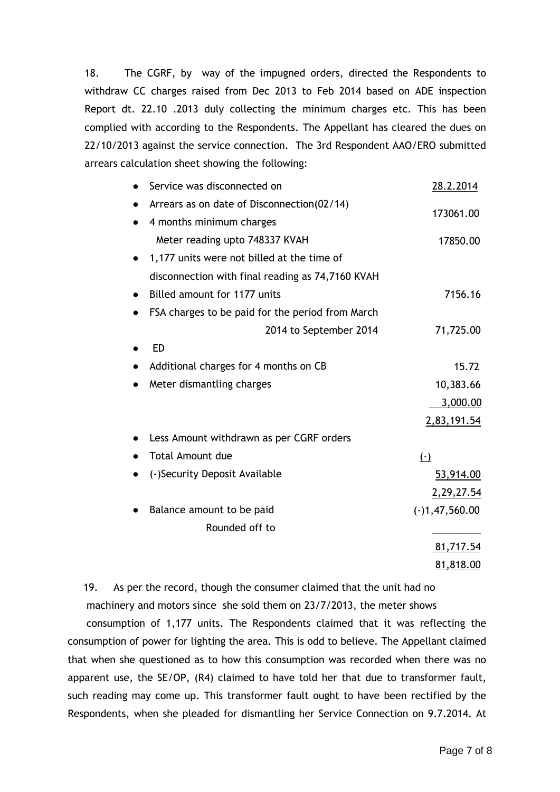18. The CGRF, by way of the impugned orders, directed the Respondents to withdraw CC charges raised from Dec 2013 to Feb 2014 based on ADE inspection Report dt. 22.10 .2013 duly collecting the minimum charges etc. This has been complied with according to the Respondents. The Appellant has cleared the dues on 22/10/2013 against the service connection. The 3rd Respondent AAO/ERO submitted arrears calculation sheet showing the following:

| Service was disconnected on                      | 28.2.2014        |
|--------------------------------------------------|------------------|
| Arrears as on date of Disconnection(02/14)       |                  |
| 4 months minimum charges                         | 173061.00        |
| Meter reading upto 748337 KVAH                   | 17850.00         |
| 1,177 units were not billed at the time of       |                  |
| disconnection with final reading as 74,7160 KVAH |                  |
| Billed amount for 1177 units                     | 7156.16          |
| FSA charges to be paid for the period from March |                  |
| 2014 to September 2014                           | 71,725.00        |
| <b>ED</b>                                        |                  |
| Additional charges for 4 months on CB            | 15.72            |
| Meter dismantling charges                        | 10,383.66        |
|                                                  | 3,000.00         |
|                                                  | 2,83,191.54      |
| Less Amount withdrawn as per CGRF orders         |                  |
| <b>Total Amount due</b>                          | $(-)$            |
| (-)Security Deposit Available                    | 53,914.00        |
|                                                  | 2,29,27.54       |
| Balance amount to be paid                        | $(-)1,47,560.00$ |
| Rounded off to                                   |                  |
|                                                  | 81,717.54        |
|                                                  | 81,818.00        |

19. As per the record, though the consumer claimed that the unit had no

 machinery and motors since she sold them on 23/7/2013, the meter shows consumption of 1,177 units. The Respondents claimed that it was reflecting the consumption of power for lighting the area. This is odd to believe. The Appellant claimed that when she questioned as to how this consumption was recorded when there was no apparent use, the SE/OP, (R4) claimed to have told her that due to transformer fault, such reading may come up. This transformer fault ought to have been rectified by the Respondents, when she pleaded for dismantling her Service Connection on 9.7.2014. At